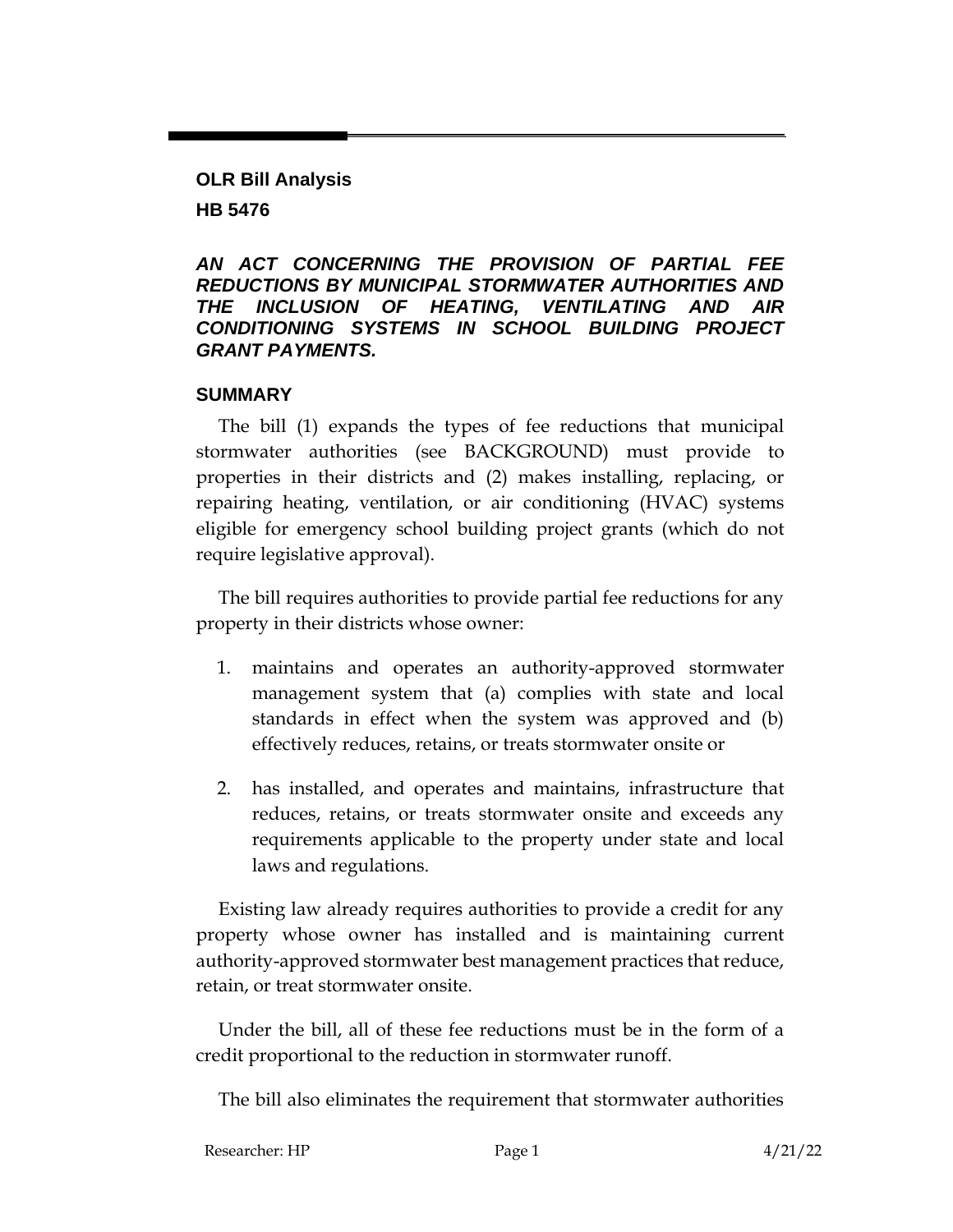## **OLR Bill Analysis HB 5476**

#### *AN ACT CONCERNING THE PROVISION OF PARTIAL FEE REDUCTIONS BY MUNICIPAL STORMWATER AUTHORITIES AND THE INCLUSION OF HEATING, VENTILATING AND AIR CONDITIONING SYSTEMS IN SCHOOL BUILDING PROJECT GRANT PAYMENTS.*

#### **SUMMARY**

The bill (1) expands the types of fee reductions that municipal stormwater authorities (see BACKGROUND) must provide to properties in their districts and (2) makes installing, replacing, or repairing heating, ventilation, or air conditioning (HVAC) systems eligible for emergency school building project grants (which do not require legislative approval).

The bill requires authorities to provide partial fee reductions for any property in their districts whose owner:

- 1. maintains and operates an authority-approved stormwater management system that (a) complies with state and local standards in effect when the system was approved and (b) effectively reduces, retains, or treats stormwater onsite or
- 2. has installed, and operates and maintains, infrastructure that reduces, retains, or treats stormwater onsite and exceeds any requirements applicable to the property under state and local laws and regulations.

Existing law already requires authorities to provide a credit for any property whose owner has installed and is maintaining current authority-approved stormwater best management practices that reduce, retain, or treat stormwater onsite.

Under the bill, all of these fee reductions must be in the form of a credit proportional to the reduction in stormwater runoff.

The bill also eliminates the requirement that stormwater authorities